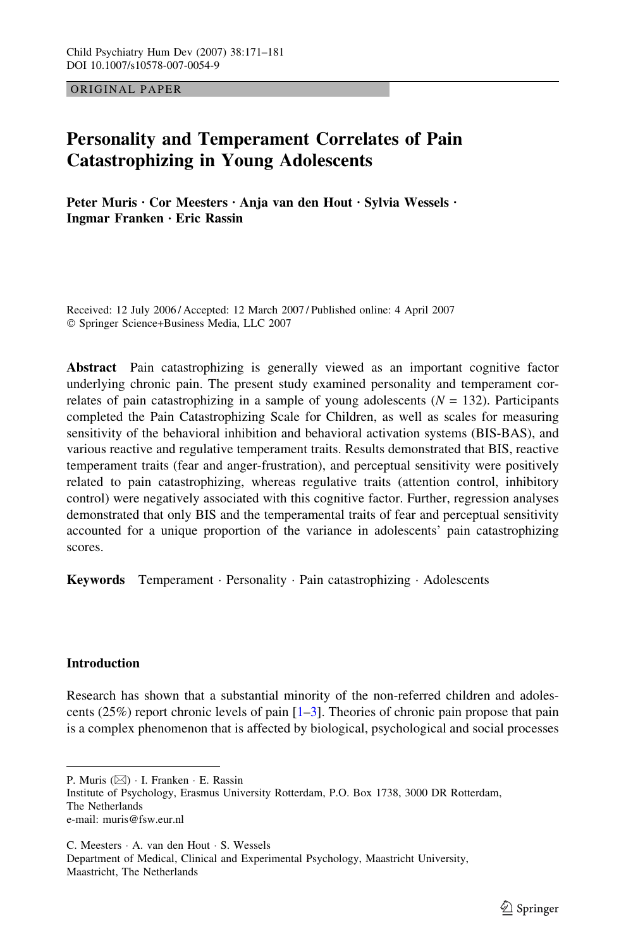ORIGINAL PAPER

# Personality and Temperament Correlates of Pain Catastrophizing in Young Adolescents

Peter Muris · Cor Meesters · Anja van den Hout · Sylvia Wessels · Ingmar Franken · Eric Rassin

Received: 12 July 2006 / Accepted: 12 March 2007 / Published online: 4 April 2007 Springer Science+Business Media, LLC 2007

Abstract Pain catastrophizing is generally viewed as an important cognitive factor underlying chronic pain. The present study examined personality and temperament correlates of pain catastrophizing in a sample of young adolescents  $(N = 132)$ . Participants completed the Pain Catastrophizing Scale for Children, as well as scales for measuring sensitivity of the behavioral inhibition and behavioral activation systems (BIS-BAS), and various reactive and regulative temperament traits. Results demonstrated that BIS, reactive temperament traits (fear and anger-frustration), and perceptual sensitivity were positively related to pain catastrophizing, whereas regulative traits (attention control, inhibitory control) were negatively associated with this cognitive factor. Further, regression analyses demonstrated that only BIS and the temperamental traits of fear and perceptual sensitivity accounted for a unique proportion of the variance in adolescents' pain catastrophizing scores.

Keywords Temperament · Personality · Pain catastrophizing · Adolescents

## Introduction

Research has shown that a substantial minority of the non-referred children and adolescents (25%) report chronic levels of pain  $[1-3]$  $[1-3]$  $[1-3]$  $[1-3]$ . Theories of chronic pain propose that pain is a complex phenomenon that is affected by biological, psychological and social processes

P. Muris  $(\boxtimes)$  · I. Franken · E. Rassin

Institute of Psychology, Erasmus University Rotterdam, P.O. Box 1738, 3000 DR Rotterdam, The Netherlands e-mail: muris@fsw.eur.nl

C. Meesters  $\cdot$  A. van den Hout  $\cdot$  S. Wessels Department of Medical, Clinical and Experimental Psychology, Maastricht University, Maastricht, The Netherlands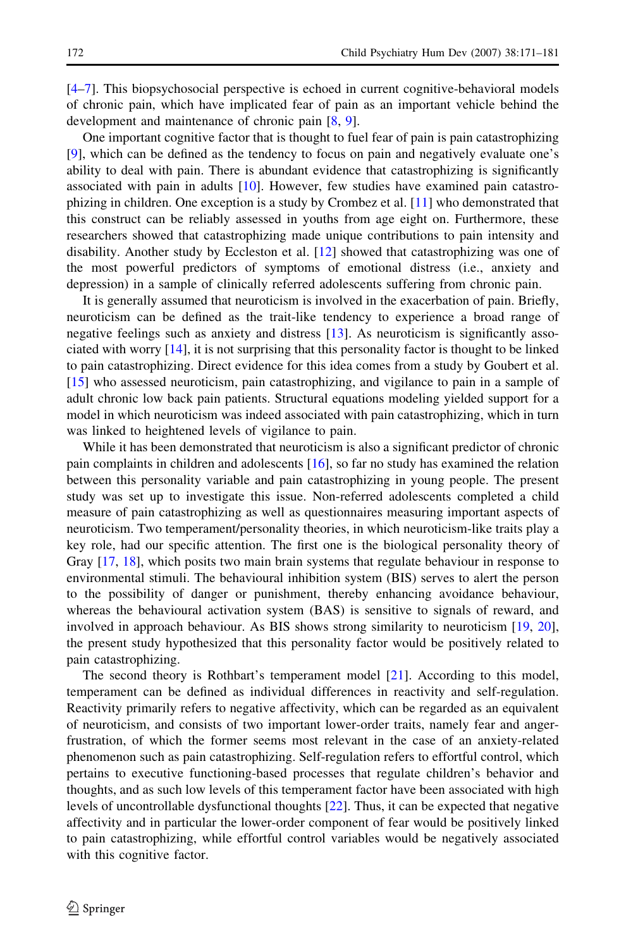[[4–7](#page-8-0)]. This biopsychosocial perspective is echoed in current cognitive-behavioral models of chronic pain, which have implicated fear of pain as an important vehicle behind the development and maintenance of chronic pain [\[8](#page-8-0), [9](#page-8-0)].

One important cognitive factor that is thought to fuel fear of pain is pain catastrophizing [[9\]](#page-8-0), which can be defined as the tendency to focus on pain and negatively evaluate one's ability to deal with pain. There is abundant evidence that catastrophizing is significantly associated with pain in adults [\[10\]](#page-9-0). However, few studies have examined pain catastrophizing in children. One exception is a study by Crombez et al. [\[11\]](#page-9-0) who demonstrated that this construct can be reliably assessed in youths from age eight on. Furthermore, these researchers showed that catastrophizing made unique contributions to pain intensity and disability. Another study by Eccleston et al. [[12](#page-9-0)] showed that catastrophizing was one of the most powerful predictors of symptoms of emotional distress (i.e., anxiety and depression) in a sample of clinically referred adolescents suffering from chronic pain.

It is generally assumed that neuroticism is involved in the exacerbation of pain. Briefly, neuroticism can be defined as the trait-like tendency to experience a broad range of negative feelings such as anxiety and distress [\[13\]](#page-9-0). As neuroticism is significantly associated with worry [[14](#page-9-0)], it is not surprising that this personality factor is thought to be linked to pain catastrophizing. Direct evidence for this idea comes from a study by Goubert et al. [[15](#page-9-0)] who assessed neuroticism, pain catastrophizing, and vigilance to pain in a sample of adult chronic low back pain patients. Structural equations modeling yielded support for a model in which neuroticism was indeed associated with pain catastrophizing, which in turn was linked to heightened levels of vigilance to pain.

While it has been demonstrated that neuroticism is also a significant predictor of chronic pain complaints in children and adolescents [[16](#page-9-0)], so far no study has examined the relation between this personality variable and pain catastrophizing in young people. The present study was set up to investigate this issue. Non-referred adolescents completed a child measure of pain catastrophizing as well as questionnaires measuring important aspects of neuroticism. Two temperament/personality theories, in which neuroticism-like traits play a key role, had our specific attention. The first one is the biological personality theory of Gray [[17](#page-9-0), [18\]](#page-9-0), which posits two main brain systems that regulate behaviour in response to environmental stimuli. The behavioural inhibition system (BIS) serves to alert the person to the possibility of danger or punishment, thereby enhancing avoidance behaviour, whereas the behavioural activation system (BAS) is sensitive to signals of reward, and involved in approach behaviour. As BIS shows strong similarity to neuroticism [[19,](#page-9-0) [20](#page-9-0)], the present study hypothesized that this personality factor would be positively related to pain catastrophizing.

The second theory is Rothbart's temperament model [\[21\]](#page-9-0). According to this model, temperament can be defined as individual differences in reactivity and self-regulation. Reactivity primarily refers to negative affectivity, which can be regarded as an equivalent of neuroticism, and consists of two important lower-order traits, namely fear and angerfrustration, of which the former seems most relevant in the case of an anxiety-related phenomenon such as pain catastrophizing. Self-regulation refers to effortful control, which pertains to executive functioning-based processes that regulate children's behavior and thoughts, and as such low levels of this temperament factor have been associated with high levels of uncontrollable dysfunctional thoughts [\[22\]](#page-9-0). Thus, it can be expected that negative affectivity and in particular the lower-order component of fear would be positively linked to pain catastrophizing, while effortful control variables would be negatively associated with this cognitive factor.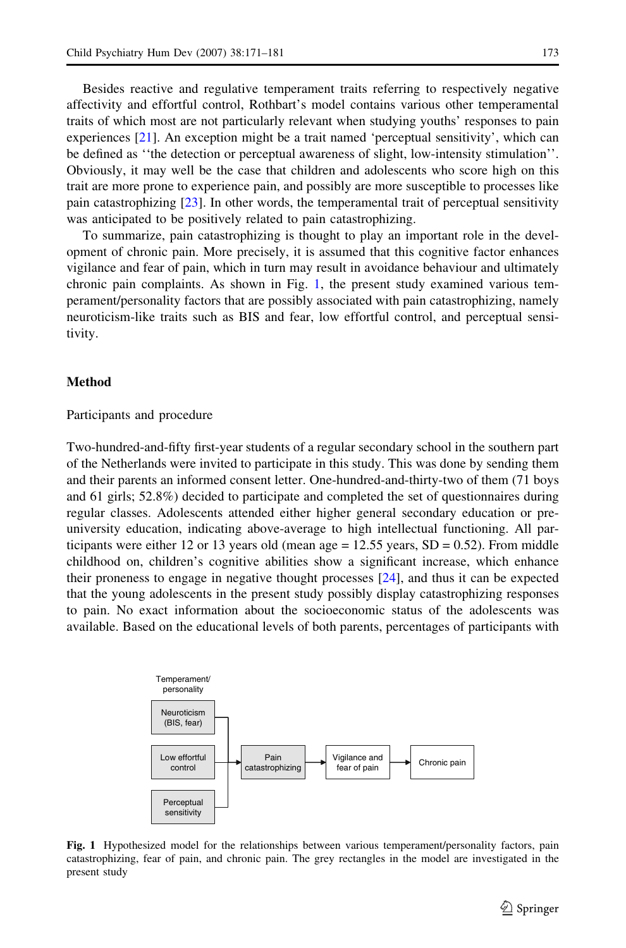<span id="page-2-0"></span>Besides reactive and regulative temperament traits referring to respectively negative affectivity and effortful control, Rothbart's model contains various other temperamental traits of which most are not particularly relevant when studying youths' responses to pain experiences [[21](#page-9-0)]. An exception might be a trait named 'perceptual sensitivity', which can be defined as ''the detection or perceptual awareness of slight, low-intensity stimulation''. Obviously, it may well be the case that children and adolescents who score high on this trait are more prone to experience pain, and possibly are more susceptible to processes like pain catastrophizing [[23](#page-9-0)]. In other words, the temperamental trait of perceptual sensitivity was anticipated to be positively related to pain catastrophizing.

To summarize, pain catastrophizing is thought to play an important role in the development of chronic pain. More precisely, it is assumed that this cognitive factor enhances vigilance and fear of pain, which in turn may result in avoidance behaviour and ultimately chronic pain complaints. As shown in Fig. 1, the present study examined various temperament/personality factors that are possibly associated with pain catastrophizing, namely neuroticism-like traits such as BIS and fear, low effortful control, and perceptual sensitivity.

#### Method

Participants and procedure

Two-hundred-and-fifty first-year students of a regular secondary school in the southern part of the Netherlands were invited to participate in this study. This was done by sending them and their parents an informed consent letter. One-hundred-and-thirty-two of them (71 boys and 61 girls; 52.8%) decided to participate and completed the set of questionnaires during regular classes. Adolescents attended either higher general secondary education or preuniversity education, indicating above-average to high intellectual functioning. All participants were either 12 or 13 years old (mean age  $= 12.55$  years,  $SD = 0.52$ ). From middle childhood on, children's cognitive abilities show a significant increase, which enhance their proneness to engage in negative thought processes [[24](#page-9-0)], and thus it can be expected that the young adolescents in the present study possibly display catastrophizing responses to pain. No exact information about the socioeconomic status of the adolescents was available. Based on the educational levels of both parents, percentages of participants with



Fig. 1 Hypothesized model for the relationships between various temperament/personality factors, pain catastrophizing, fear of pain, and chronic pain. The grey rectangles in the model are investigated in the present study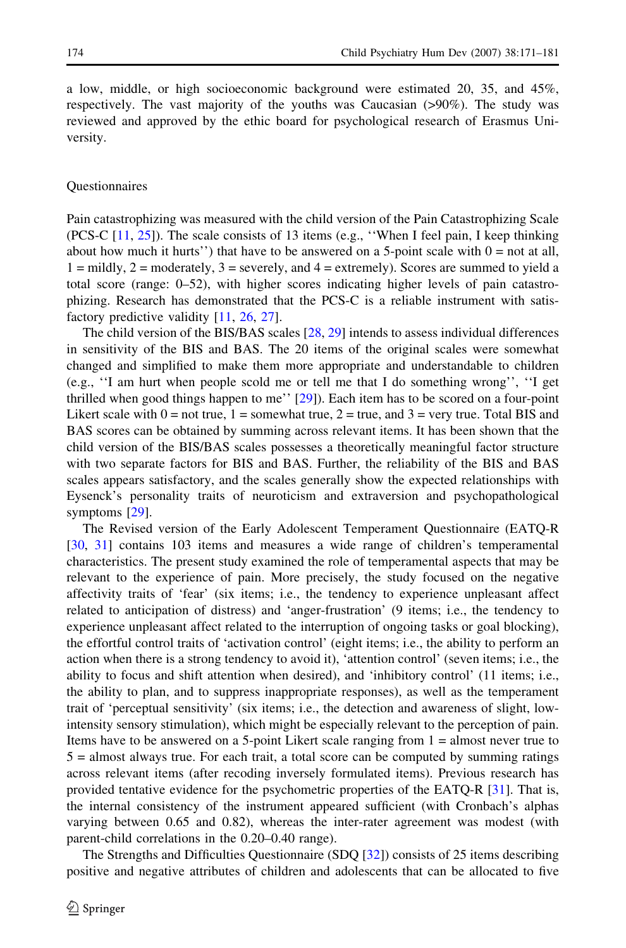a low, middle, or high socioeconomic background were estimated 20, 35, and 45%, respectively. The vast majority of the youths was Caucasian (>90%). The study was reviewed and approved by the ethic board for psychological research of Erasmus University.

#### Questionnaires

Pain catastrophizing was measured with the child version of the Pain Catastrophizing Scale (PCS-C [\[11,](#page-9-0) [25](#page-9-0)]). The scale consists of 13 items (e.g., ''When I feel pain, I keep thinking about how much it hurts'') that have to be answered on a 5-point scale with  $0 = \text{not at all}$ ,  $1 =$  mildly,  $2 =$  moderately,  $3 =$  severely, and  $4 =$  extremely). Scores are summed to yield a total score (range: 0–52), with higher scores indicating higher levels of pain catastrophizing. Research has demonstrated that the PCS-C is a reliable instrument with satis-factory predictive validity [\[11,](#page-9-0) [26,](#page-9-0) [27\]](#page-9-0).

The child version of the BIS/BAS scales [\[28,](#page-9-0) [29\]](#page-9-0) intends to assess individual differences in sensitivity of the BIS and BAS. The 20 items of the original scales were somewhat changed and simplified to make them more appropriate and understandable to children (e.g., ''I am hurt when people scold me or tell me that I do something wrong'', ''I get thrilled when good things happen to me'' [\[29\]](#page-9-0)). Each item has to be scored on a four-point Likert scale with  $0 =$  not true,  $1 =$  somewhat true,  $2 =$  true, and  $3 =$  very true. Total BIS and BAS scores can be obtained by summing across relevant items. It has been shown that the child version of the BIS/BAS scales possesses a theoretically meaningful factor structure with two separate factors for BIS and BAS. Further, the reliability of the BIS and BAS scales appears satisfactory, and the scales generally show the expected relationships with Eysenck's personality traits of neuroticism and extraversion and psychopathological symptoms [[29](#page-9-0)].

The Revised version of the Early Adolescent Temperament Questionnaire (EATQ-R [[30](#page-9-0), [31\]](#page-9-0) contains 103 items and measures a wide range of children's temperamental characteristics. The present study examined the role of temperamental aspects that may be relevant to the experience of pain. More precisely, the study focused on the negative affectivity traits of 'fear' (six items; i.e., the tendency to experience unpleasant affect related to anticipation of distress) and 'anger-frustration' (9 items; i.e., the tendency to experience unpleasant affect related to the interruption of ongoing tasks or goal blocking), the effortful control traits of 'activation control' (eight items; i.e., the ability to perform an action when there is a strong tendency to avoid it), 'attention control' (seven items; i.e., the ability to focus and shift attention when desired), and 'inhibitory control' (11 items; i.e., the ability to plan, and to suppress inappropriate responses), as well as the temperament trait of 'perceptual sensitivity' (six items; i.e., the detection and awareness of slight, lowintensity sensory stimulation), which might be especially relevant to the perception of pain. Items have to be answered on a 5-point Likert scale ranging from 1 = almost never true to  $5 =$  almost always true. For each trait, a total score can be computed by summing ratings across relevant items (after recoding inversely formulated items). Previous research has provided tentative evidence for the psychometric properties of the EATQ-R [[31](#page-9-0)]. That is, the internal consistency of the instrument appeared sufficient (with Cronbach's alphas varying between 0.65 and 0.82), whereas the inter-rater agreement was modest (with parent-child correlations in the 0.20–0.40 range).

The Strengths and Difficulties Questionnaire (SDQ [[32](#page-9-0)]) consists of 25 items describing positive and negative attributes of children and adolescents that can be allocated to five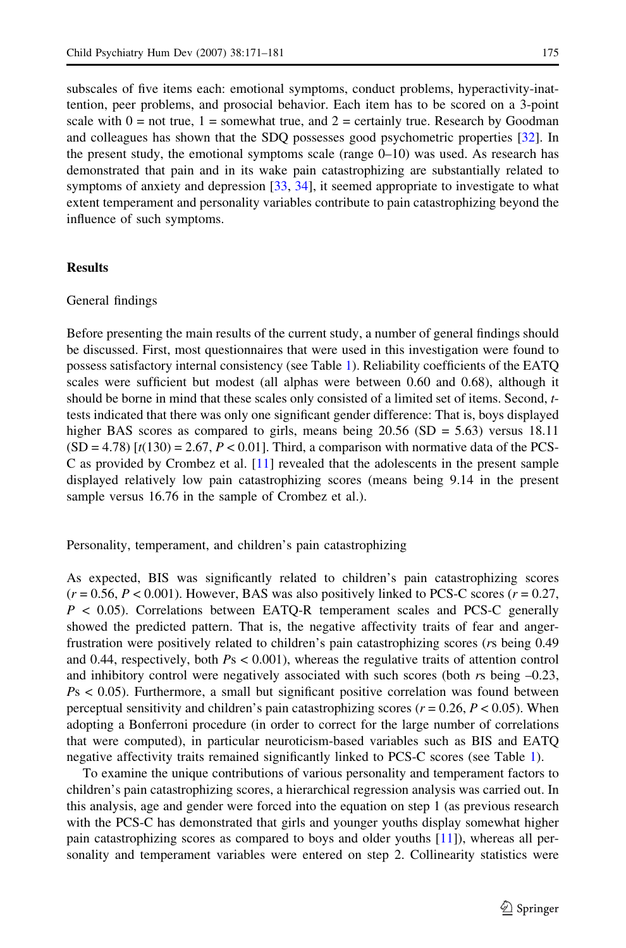subscales of five items each: emotional symptoms, conduct problems, hyperactivity-inattention, peer problems, and prosocial behavior. Each item has to be scored on a 3-point scale with  $0 =$  not true,  $1 =$  somewhat true, and  $2 =$  certainly true. Research by Goodman and colleagues has shown that the SDQ possesses good psychometric properties [\[32\]](#page-9-0). In the present study, the emotional symptoms scale (range 0–10) was used. As research has demonstrated that pain and in its wake pain catastrophizing are substantially related to symptoms of anxiety and depression [[33,](#page-9-0) [34\]](#page-9-0), it seemed appropriate to investigate to what extent temperament and personality variables contribute to pain catastrophizing beyond the influence of such symptoms.

### **Results**

## General findings

Before presenting the main results of the current study, a number of general findings should be discussed. First, most questionnaires that were used in this investigation were found to possess satisfactory internal consistency (see Table [1](#page-5-0)). Reliability coefficients of the EATQ scales were sufficient but modest (all alphas were between 0.60 and 0.68), although it should be borne in mind that these scales only consisted of a limited set of items. Second, ttests indicated that there was only one significant gender difference: That is, boys displayed higher BAS scores as compared to girls, means being  $20.56$  (SD = 5.63) versus 18.11  $(SD = 4.78)$  [ $t(130) = 2.67$ ,  $P < 0.01$ ]. Third, a comparison with normative data of the PCS-C as provided by Crombez et al. [[11](#page-9-0)] revealed that the adolescents in the present sample displayed relatively low pain catastrophizing scores (means being 9.14 in the present sample versus 16.76 in the sample of Crombez et al.).

Personality, temperament, and children's pain catastrophizing

As expected, BIS was significantly related to children's pain catastrophizing scores  $(r = 0.56, P < 0.001)$ . However, BAS was also positively linked to PCS-C scores  $(r = 0.27, P)$  $P < 0.05$ ). Correlations between EATQ-R temperament scales and PCS-C generally showed the predicted pattern. That is, the negative affectivity traits of fear and angerfrustration were positively related to children's pain catastrophizing scores (rs being 0.49 and 0.44, respectively, both  $Ps < 0.001$ ), whereas the regulative traits of attention control and inhibitory control were negatively associated with such scores (both rs being –0.23,  $Ps < 0.05$ ). Furthermore, a small but significant positive correlation was found between perceptual sensitivity and children's pain catastrophizing scores ( $r = 0.26$ ,  $P < 0.05$ ). When adopting a Bonferroni procedure (in order to correct for the large number of correlations that were computed), in particular neuroticism-based variables such as BIS and EATQ negative affectivity traits remained significantly linked to PCS-C scores (see Table [1\)](#page-5-0).

To examine the unique contributions of various personality and temperament factors to children's pain catastrophizing scores, a hierarchical regression analysis was carried out. In this analysis, age and gender were forced into the equation on step 1 (as previous research with the PCS-C has demonstrated that girls and younger youths display somewhat higher pain catastrophizing scores as compared to boys and older youths [\[11](#page-9-0)]), whereas all personality and temperament variables were entered on step 2. Collinearity statistics were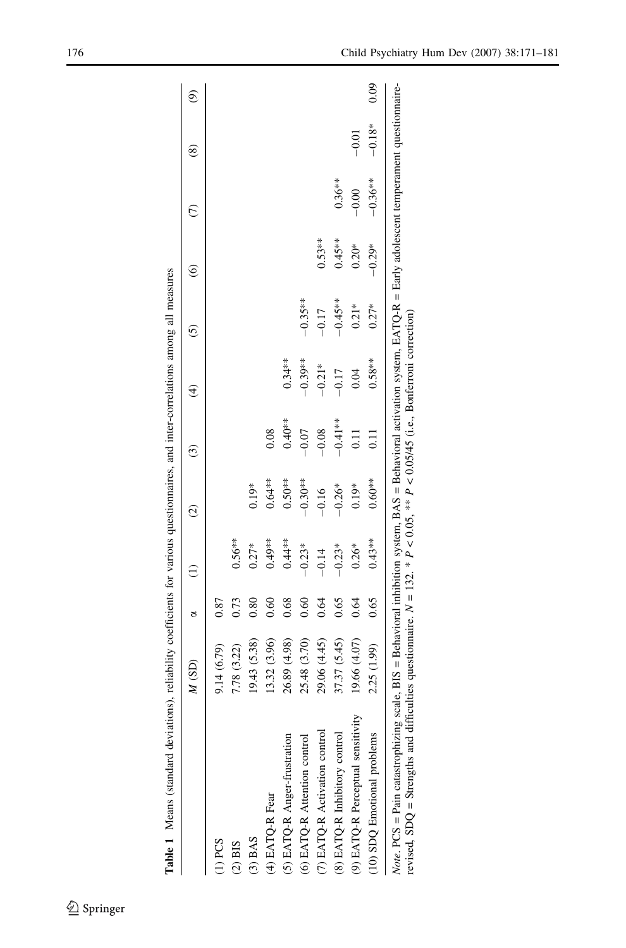<span id="page-5-0"></span>

|                                                                                                                                                                                                                                                                                                            | $M$ (SD)     | 8    |          | ପି        | ٣         | A         | ینَ        | ତ୍ର       |           | œ        | ම    |
|------------------------------------------------------------------------------------------------------------------------------------------------------------------------------------------------------------------------------------------------------------------------------------------------------------|--------------|------|----------|-----------|-----------|-----------|------------|-----------|-----------|----------|------|
| T) PCS                                                                                                                                                                                                                                                                                                     | 9.14 (6.79)  | 0.87 |          |           |           |           |            |           |           |          |      |
| $(2)$ BIS                                                                                                                                                                                                                                                                                                  | 7.78 (3.22)  | 0.73 | $0.56**$ |           |           |           |            |           |           |          |      |
| $(3)$ BAS                                                                                                                                                                                                                                                                                                  | 19.43 (5.38) | 0.80 | $0.27*$  | $0.19*$   |           |           |            |           |           |          |      |
| (4) EATQ-R Fear                                                                                                                                                                                                                                                                                            | 13.32 (3.96) | 0.60 | $0.49**$ | $0.64**$  | 0.08      |           |            |           |           |          |      |
| (5) EATQ-R Anger-frustration                                                                                                                                                                                                                                                                               | 26.89 (4.98) | 0.68 | $0.44**$ | $0.50**$  | $0.40**$  | $0.34**$  |            |           |           |          |      |
| (6) EATQ-R Attention control                                                                                                                                                                                                                                                                               | 25.48 (3.70) | 0.60 | $-0.23*$ | $-0.30**$ | $-0.07$   | $-0.39**$ | $-0.35***$ |           |           |          |      |
| (7) EATQ-R Activation control                                                                                                                                                                                                                                                                              | 29.06 (4.45) | 0.64 | $-0.14$  | $-0.16$   | $-0.08$   | $-0.21*$  | $-0.17$    | $0.53**$  |           |          |      |
| (8) EATQ-R Inhibitory control                                                                                                                                                                                                                                                                              | 37.37 (5.45) | 0.65 | $-0.23*$ | $-0.26*$  | $-0.41**$ | $-0.17$   | $-0.45**$  | $0.45***$ | $0.36***$ |          |      |
| (9) EATQ-R Perceptual sensitivity                                                                                                                                                                                                                                                                          | 19.66 (4.07) | 0.64 | $0.26*$  | $0.19*$   | $\Xi$     | 0.04      | $0.21*$    | $0.20*$   | $-0.00$   | $-0.01$  |      |
| (10) SDQ Emotional problems                                                                                                                                                                                                                                                                                | 2.25 (1.99)  | 0.65 | $0.43**$ | $0.60**$  | 0.11      | $0.58**$  | $0.27*$    | $-0.29*$  | $-0.36**$ | $-0.18*$ | 0.09 |
| Note. PCS = Pain catastrophizing scale, BIS = Behavioral inhibition system, BAS = Behavioral activation system, EATQ-R = Early adolescent temperament questionnaire-<br>revised, SDQ = Strengths and difficulties questionnaire. $N = 132$ . * $P < 0.05$ , ** $P < 0.05/45$ (i.e., Bonferroni correction) |              |      |          |           |           |           |            |           |           |          |      |

propries, and inter-correlations among all measures Table 1 Means (standard deviations), reliability coefficients for various questionnaires, and inter-correlations among all measures Ė  $\ddot{\cdot}$ Table 1 Means (standard deviations), reliability coefficients for various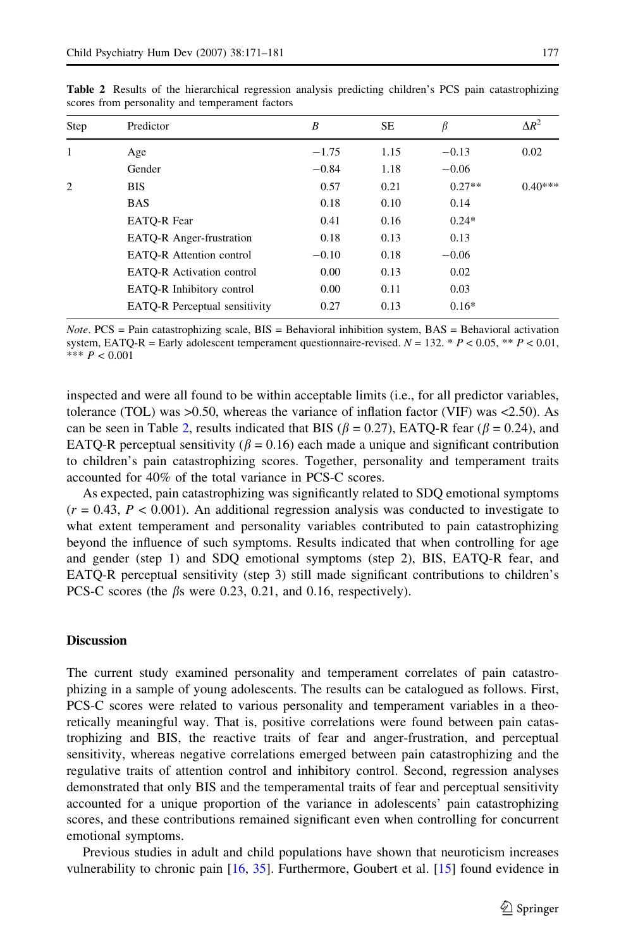| Step                | Predictor                            | B       | <b>SE</b> | β        | $\Delta R^2$ |
|---------------------|--------------------------------------|---------|-----------|----------|--------------|
| 1<br>$\overline{c}$ | Age                                  | $-1.75$ | 1.15      | $-0.13$  | 0.02         |
|                     | Gender                               | $-0.84$ | 1.18      | $-0.06$  |              |
|                     | <b>BIS</b>                           | 0.57    | 0.21      | $0.27**$ | $0.40***$    |
|                     | <b>BAS</b>                           | 0.18    | 0.10      | 0.14     |              |
|                     | <b>EATO-R Fear</b>                   | 0.41    | 0.16      | $0.24*$  |              |
|                     | <b>EATO-R</b> Anger-frustration      | 0.18    | 0.13      | 0.13     |              |
|                     | <b>EATO-R</b> Attention control      | $-0.10$ | 0.18      | $-0.06$  |              |
|                     | <b>EATO-R</b> Activation control     | 0.00    | 0.13      | 0.02     |              |
|                     | EATO-R Inhibitory control            | 0.00    | 0.11      | 0.03     |              |
|                     | <b>EATO-R</b> Perceptual sensitivity | 0.27    | 0.13      | $0.16*$  |              |

Table 2 Results of the hierarchical regression analysis predicting children's PCS pain catastrophizing scores from personality and temperament factors

*Note.*  $PCS =$  Pain catastrophizing scale,  $BIS =$  Behavioral inhibition system,  $BAS =$  Behavioral activation system, EATQ-R = Early adolescent temperament questionnaire-revised.  $N = 132$ . \*  $P < 0.05$ , \*\*  $P < 0.01$ , \*\*\*  $P < 0.001$ 

inspected and were all found to be within acceptable limits (i.e., for all predictor variables, tolerance (TOL) was  $>0.50$ , whereas the variance of inflation factor (VIF) was  $<2.50$ ). As can be seen in Table 2, results indicated that BIS ( $\beta$  = 0.27), EATQ-R fear ( $\beta$  = 0.24), and EATQ-R perceptual sensitivity ( $\beta$  = 0.16) each made a unique and significant contribution to children's pain catastrophizing scores. Together, personality and temperament traits accounted for 40% of the total variance in PCS-C scores.

As expected, pain catastrophizing was significantly related to SDQ emotional symptoms  $(r = 0.43, P < 0.001)$ . An additional regression analysis was conducted to investigate to what extent temperament and personality variables contributed to pain catastrophizing beyond the influence of such symptoms. Results indicated that when controlling for age and gender (step 1) and SDQ emotional symptoms (step 2), BIS, EATQ-R fear, and EATQ-R perceptual sensitivity (step 3) still made significant contributions to children's PCS-C scores (the  $\beta$ s were 0.23, 0.21, and 0.16, respectively).

# **Discussion**

The current study examined personality and temperament correlates of pain catastrophizing in a sample of young adolescents. The results can be catalogued as follows. First, PCS-C scores were related to various personality and temperament variables in a theoretically meaningful way. That is, positive correlations were found between pain catastrophizing and BIS, the reactive traits of fear and anger-frustration, and perceptual sensitivity, whereas negative correlations emerged between pain catastrophizing and the regulative traits of attention control and inhibitory control. Second, regression analyses demonstrated that only BIS and the temperamental traits of fear and perceptual sensitivity accounted for a unique proportion of the variance in adolescents' pain catastrophizing scores, and these contributions remained significant even when controlling for concurrent emotional symptoms.

Previous studies in adult and child populations have shown that neuroticism increases vulnerability to chronic pain [[16](#page-9-0), [35](#page-9-0)]. Furthermore, Goubert et al. [[15](#page-9-0)] found evidence in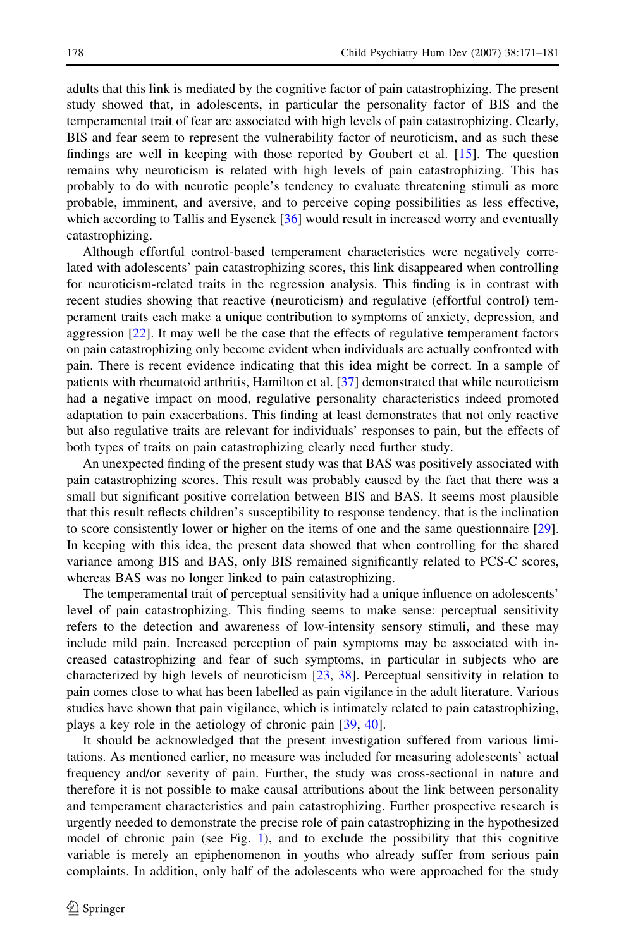adults that this link is mediated by the cognitive factor of pain catastrophizing. The present study showed that, in adolescents, in particular the personality factor of BIS and the temperamental trait of fear are associated with high levels of pain catastrophizing. Clearly, BIS and fear seem to represent the vulnerability factor of neuroticism, and as such these findings are well in keeping with those reported by Goubert et al. [\[15\]](#page-9-0). The question remains why neuroticism is related with high levels of pain catastrophizing. This has probably to do with neurotic people's tendency to evaluate threatening stimuli as more probable, imminent, and aversive, and to perceive coping possibilities as less effective, which according to Tallis and Eysenck [[36](#page-9-0)] would result in increased worry and eventually catastrophizing.

Although effortful control-based temperament characteristics were negatively correlated with adolescents' pain catastrophizing scores, this link disappeared when controlling for neuroticism-related traits in the regression analysis. This finding is in contrast with recent studies showing that reactive (neuroticism) and regulative (effortful control) temperament traits each make a unique contribution to symptoms of anxiety, depression, and aggression [\[22\]](#page-9-0). It may well be the case that the effects of regulative temperament factors on pain catastrophizing only become evident when individuals are actually confronted with pain. There is recent evidence indicating that this idea might be correct. In a sample of patients with rheumatoid arthritis, Hamilton et al. [[37\]](#page-9-0) demonstrated that while neuroticism had a negative impact on mood, regulative personality characteristics indeed promoted adaptation to pain exacerbations. This finding at least demonstrates that not only reactive but also regulative traits are relevant for individuals' responses to pain, but the effects of both types of traits on pain catastrophizing clearly need further study.

An unexpected finding of the present study was that BAS was positively associated with pain catastrophizing scores. This result was probably caused by the fact that there was a small but significant positive correlation between BIS and BAS. It seems most plausible that this result reflects children's susceptibility to response tendency, that is the inclination to score consistently lower or higher on the items of one and the same questionnaire [[29](#page-9-0)]. In keeping with this idea, the present data showed that when controlling for the shared variance among BIS and BAS, only BIS remained significantly related to PCS-C scores, whereas BAS was no longer linked to pain catastrophizing.

The temperamental trait of perceptual sensitivity had a unique influence on adolescents' level of pain catastrophizing. This finding seems to make sense: perceptual sensitivity refers to the detection and awareness of low-intensity sensory stimuli, and these may include mild pain. Increased perception of pain symptoms may be associated with increased catastrophizing and fear of such symptoms, in particular in subjects who are characterized by high levels of neuroticism [\[23,](#page-9-0) [38](#page-9-0)]. Perceptual sensitivity in relation to pain comes close to what has been labelled as pain vigilance in the adult literature. Various studies have shown that pain vigilance, which is intimately related to pain catastrophizing, plays a key role in the aetiology of chronic pain [\[39,](#page-10-0) [40\]](#page-10-0).

It should be acknowledged that the present investigation suffered from various limitations. As mentioned earlier, no measure was included for measuring adolescents' actual frequency and/or severity of pain. Further, the study was cross-sectional in nature and therefore it is not possible to make causal attributions about the link between personality and temperament characteristics and pain catastrophizing. Further prospective research is urgently needed to demonstrate the precise role of pain catastrophizing in the hypothesized model of chronic pain (see Fig. [1](#page-2-0)), and to exclude the possibility that this cognitive variable is merely an epiphenomenon in youths who already suffer from serious pain complaints. In addition, only half of the adolescents who were approached for the study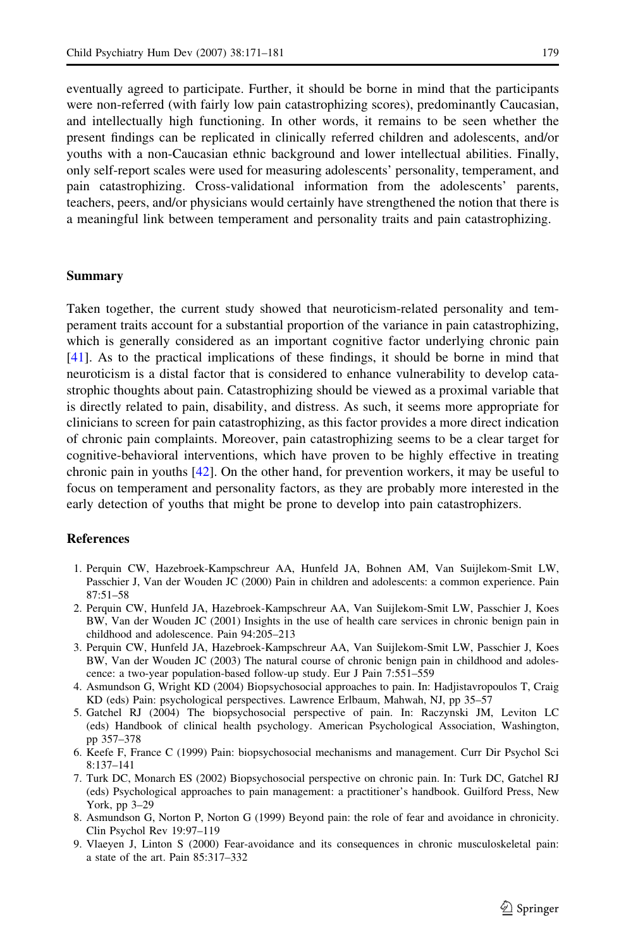<span id="page-8-0"></span>eventually agreed to participate. Further, it should be borne in mind that the participants were non-referred (with fairly low pain catastrophizing scores), predominantly Caucasian, and intellectually high functioning. In other words, it remains to be seen whether the present findings can be replicated in clinically referred children and adolescents, and/or youths with a non-Caucasian ethnic background and lower intellectual abilities. Finally, only self-report scales were used for measuring adolescents' personality, temperament, and pain catastrophizing. Cross-validational information from the adolescents' parents, teachers, peers, and/or physicians would certainly have strengthened the notion that there is a meaningful link between temperament and personality traits and pain catastrophizing.

#### Summary

Taken together, the current study showed that neuroticism-related personality and temperament traits account for a substantial proportion of the variance in pain catastrophizing, which is generally considered as an important cognitive factor underlying chronic pain [[41](#page-10-0)]. As to the practical implications of these findings, it should be borne in mind that neuroticism is a distal factor that is considered to enhance vulnerability to develop catastrophic thoughts about pain. Catastrophizing should be viewed as a proximal variable that is directly related to pain, disability, and distress. As such, it seems more appropriate for clinicians to screen for pain catastrophizing, as this factor provides a more direct indication of chronic pain complaints. Moreover, pain catastrophizing seems to be a clear target for cognitive-behavioral interventions, which have proven to be highly effective in treating chronic pain in youths  $[42]$  $[42]$  $[42]$ . On the other hand, for prevention workers, it may be useful to focus on temperament and personality factors, as they are probably more interested in the early detection of youths that might be prone to develop into pain catastrophizers.

### References

- 1. Perquin CW, Hazebroek-Kampschreur AA, Hunfeld JA, Bohnen AM, Van Suijlekom-Smit LW, Passchier J, Van der Wouden JC (2000) Pain in children and adolescents: a common experience. Pain 87:51–58
- 2. Perquin CW, Hunfeld JA, Hazebroek-Kampschreur AA, Van Suijlekom-Smit LW, Passchier J, Koes BW, Van der Wouden JC (2001) Insights in the use of health care services in chronic benign pain in childhood and adolescence. Pain 94:205–213
- 3. Perquin CW, Hunfeld JA, Hazebroek-Kampschreur AA, Van Suijlekom-Smit LW, Passchier J, Koes BW, Van der Wouden JC (2003) The natural course of chronic benign pain in childhood and adolescence: a two-year population-based follow-up study. Eur J Pain 7:551–559
- 4. Asmundson G, Wright KD (2004) Biopsychosocial approaches to pain. In: Hadjistavropoulos T, Craig KD (eds) Pain: psychological perspectives. Lawrence Erlbaum, Mahwah, NJ, pp 35–57
- 5. Gatchel RJ (2004) The biopsychosocial perspective of pain. In: Raczynski JM, Leviton LC (eds) Handbook of clinical health psychology. American Psychological Association, Washington, pp 357–378
- 6. Keefe F, France C (1999) Pain: biopsychosocial mechanisms and management. Curr Dir Psychol Sci 8:137–141
- 7. Turk DC, Monarch ES (2002) Biopsychosocial perspective on chronic pain. In: Turk DC, Gatchel RJ (eds) Psychological approaches to pain management: a practitioner's handbook. Guilford Press, New York, pp 3–29
- 8. Asmundson G, Norton P, Norton G (1999) Beyond pain: the role of fear and avoidance in chronicity. Clin Psychol Rev 19:97–119
- 9. Vlaeyen J, Linton S (2000) Fear-avoidance and its consequences in chronic musculoskeletal pain: a state of the art. Pain 85:317–332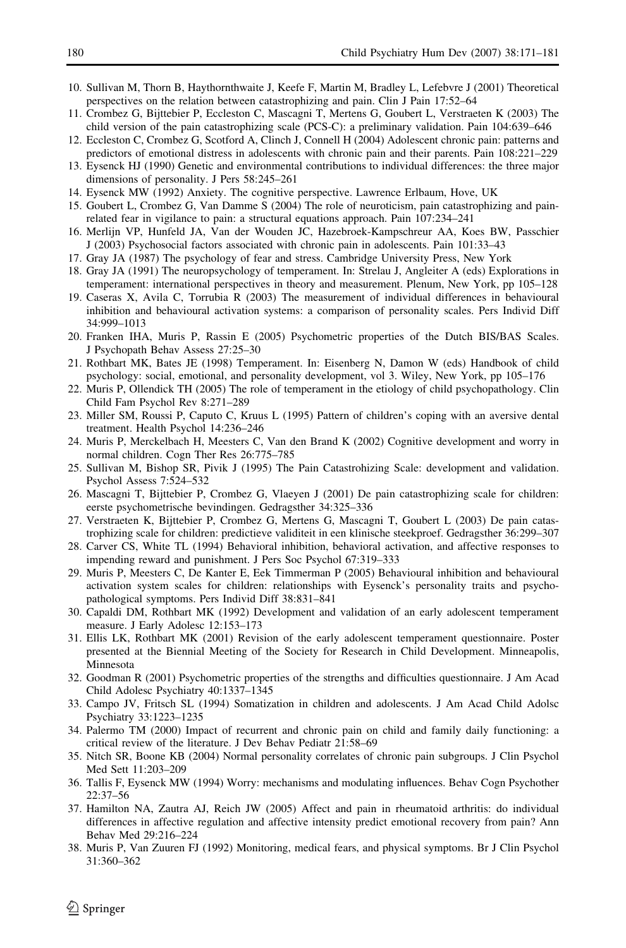- <span id="page-9-0"></span>10. Sullivan M, Thorn B, Haythornthwaite J, Keefe F, Martin M, Bradley L, Lefebvre J (2001) Theoretical perspectives on the relation between catastrophizing and pain. Clin J Pain 17:52–64
- 11. Crombez G, Bijttebier P, Eccleston C, Mascagni T, Mertens G, Goubert L, Verstraeten K (2003) The child version of the pain catastrophizing scale (PCS-C): a preliminary validation. Pain 104:639–646
- 12. Eccleston C, Crombez G, Scotford A, Clinch J, Connell H (2004) Adolescent chronic pain: patterns and predictors of emotional distress in adolescents with chronic pain and their parents. Pain 108:221–229
- 13. Eysenck HJ (1990) Genetic and environmental contributions to individual differences: the three major dimensions of personality. J Pers 58:245–261
- 14. Eysenck MW (1992) Anxiety. The cognitive perspective. Lawrence Erlbaum, Hove, UK
- 15. Goubert L, Crombez G, Van Damme S (2004) The role of neuroticism, pain catastrophizing and painrelated fear in vigilance to pain: a structural equations approach. Pain 107:234–241
- 16. Merlijn VP, Hunfeld JA, Van der Wouden JC, Hazebroek-Kampschreur AA, Koes BW, Passchier J (2003) Psychosocial factors associated with chronic pain in adolescents. Pain 101:33–43
- 17. Gray JA (1987) The psychology of fear and stress. Cambridge University Press, New York
- 18. Gray JA (1991) The neuropsychology of temperament. In: Strelau J, Angleiter A (eds) Explorations in temperament: international perspectives in theory and measurement. Plenum, New York, pp 105–128
- 19. Caseras X, Avila C, Torrubia R (2003) The measurement of individual differences in behavioural inhibition and behavioural activation systems: a comparison of personality scales. Pers Individ Diff 34:999–1013
- 20. Franken IHA, Muris P, Rassin E (2005) Psychometric properties of the Dutch BIS/BAS Scales. J Psychopath Behav Assess 27:25–30
- 21. Rothbart MK, Bates JE (1998) Temperament. In: Eisenberg N, Damon W (eds) Handbook of child psychology: social, emotional, and personality development, vol 3. Wiley, New York, pp 105–176
- 22. Muris P, Ollendick TH (2005) The role of temperament in the etiology of child psychopathology. Clin Child Fam Psychol Rev 8:271–289
- 23. Miller SM, Roussi P, Caputo C, Kruus L (1995) Pattern of children's coping with an aversive dental treatment. Health Psychol 14:236–246
- 24. Muris P, Merckelbach H, Meesters C, Van den Brand K (2002) Cognitive development and worry in normal children. Cogn Ther Res 26:775–785
- 25. Sullivan M, Bishop SR, Pivik J (1995) The Pain Catastrohizing Scale: development and validation. Psychol Assess 7:524–532
- 26. Mascagni T, Bijttebier P, Crombez G, Vlaeyen J (2001) De pain catastrophizing scale for children: eerste psychometrische bevindingen. Gedragsther 34:325–336
- 27. Verstraeten K, Bijttebier P, Crombez G, Mertens G, Mascagni T, Goubert L (2003) De pain catastrophizing scale for children: predictieve validiteit in een klinische steekproef. Gedragsther 36:299–307
- 28. Carver CS, White TL (1994) Behavioral inhibition, behavioral activation, and affective responses to impending reward and punishment. J Pers Soc Psychol 67:319–333
- 29. Muris P, Meesters C, De Kanter E, Eek Timmerman P (2005) Behavioural inhibition and behavioural activation system scales for children: relationships with Eysenck's personality traits and psychopathological symptoms. Pers Individ Diff 38:831–841
- 30. Capaldi DM, Rothbart MK (1992) Development and validation of an early adolescent temperament measure. J Early Adolesc 12:153–173
- 31. Ellis LK, Rothbart MK (2001) Revision of the early adolescent temperament questionnaire. Poster presented at the Biennial Meeting of the Society for Research in Child Development. Minneapolis, Minnesota
- 32. Goodman R (2001) Psychometric properties of the strengths and difficulties questionnaire. J Am Acad Child Adolesc Psychiatry 40:1337–1345
- 33. Campo JV, Fritsch SL (1994) Somatization in children and adolescents. J Am Acad Child Adolsc Psychiatry 33:1223–1235
- 34. Palermo TM (2000) Impact of recurrent and chronic pain on child and family daily functioning: a critical review of the literature. J Dev Behav Pediatr 21:58–69
- 35. Nitch SR, Boone KB (2004) Normal personality correlates of chronic pain subgroups. J Clin Psychol Med Sett 11:203–209
- 36. Tallis F, Eysenck MW (1994) Worry: mechanisms and modulating influences. Behav Cogn Psychother 22:37–56
- 37. Hamilton NA, Zautra AJ, Reich JW (2005) Affect and pain in rheumatoid arthritis: do individual differences in affective regulation and affective intensity predict emotional recovery from pain? Ann Behav Med 29:216–224
- 38. Muris P, Van Zuuren FJ (1992) Monitoring, medical fears, and physical symptoms. Br J Clin Psychol 31:360–362